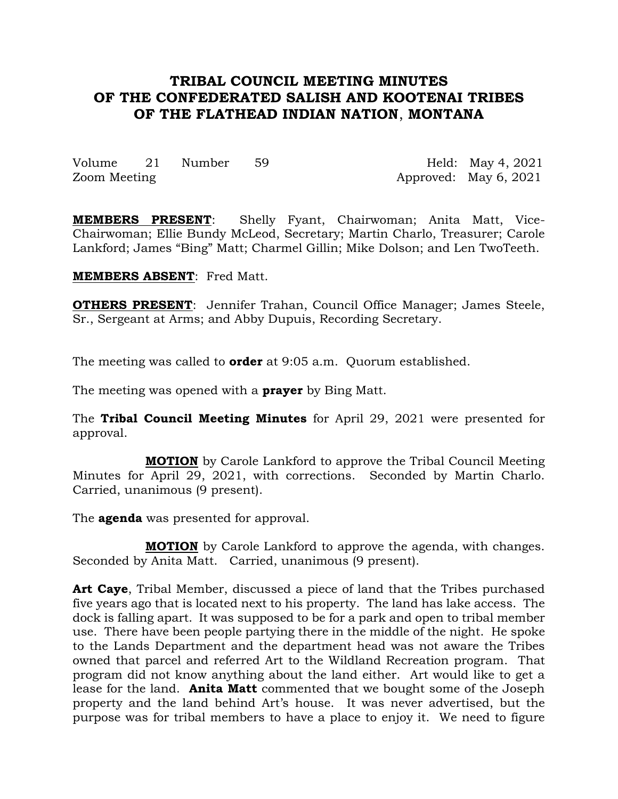# **TRIBAL COUNCIL MEETING MINUTES OF THE CONFEDERATED SALISH AND KOOTENAI TRIBES OF THE FLATHEAD INDIAN NATION**, **MONTANA**

Volume 21 Number 59 Held: May 4, 2021 Zoom Meeting 2001 Approved: May 6, 2021

**MEMBERS PRESENT**: Shelly Fyant, Chairwoman; Anita Matt, Vice-Chairwoman; Ellie Bundy McLeod, Secretary; Martin Charlo, Treasurer; Carole Lankford; James "Bing" Matt; Charmel Gillin; Mike Dolson; and Len TwoTeeth.

**MEMBERS ABSENT**: Fred Matt.

**OTHERS PRESENT:** Jennifer Trahan, Council Office Manager; James Steele, Sr., Sergeant at Arms; and Abby Dupuis, Recording Secretary.

The meeting was called to **order** at 9:05 a.m. Quorum established.

The meeting was opened with a **prayer** by Bing Matt.

The **Tribal Council Meeting Minutes** for April 29, 2021 were presented for approval.

**MOTION** by Carole Lankford to approve the Tribal Council Meeting Minutes for April 29, 2021, with corrections. Seconded by Martin Charlo. Carried, unanimous (9 present).

The **agenda** was presented for approval.

**MOTION** by Carole Lankford to approve the agenda, with changes. Seconded by Anita Matt. Carried, unanimous (9 present).

**Art Caye**, Tribal Member, discussed a piece of land that the Tribes purchased five years ago that is located next to his property. The land has lake access. The dock is falling apart. It was supposed to be for a park and open to tribal member use. There have been people partying there in the middle of the night. He spoke to the Lands Department and the department head was not aware the Tribes owned that parcel and referred Art to the Wildland Recreation program. That program did not know anything about the land either. Art would like to get a lease for the land. **Anita Matt** commented that we bought some of the Joseph property and the land behind Art's house. It was never advertised, but the purpose was for tribal members to have a place to enjoy it. We need to figure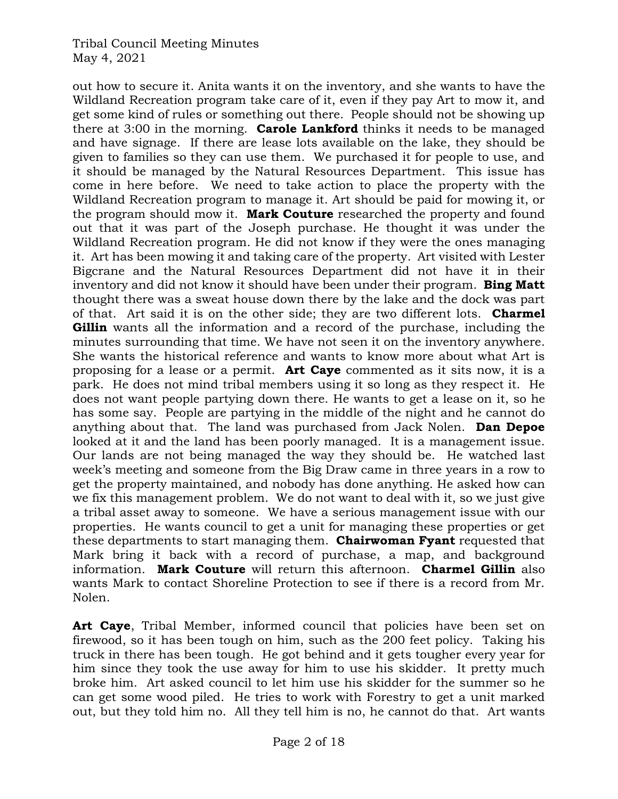out how to secure it. Anita wants it on the inventory, and she wants to have the Wildland Recreation program take care of it, even if they pay Art to mow it, and get some kind of rules or something out there. People should not be showing up there at 3:00 in the morning. **Carole Lankford** thinks it needs to be managed and have signage. If there are lease lots available on the lake, they should be given to families so they can use them. We purchased it for people to use, and it should be managed by the Natural Resources Department. This issue has come in here before. We need to take action to place the property with the Wildland Recreation program to manage it. Art should be paid for mowing it, or the program should mow it. **Mark Couture** researched the property and found out that it was part of the Joseph purchase. He thought it was under the Wildland Recreation program. He did not know if they were the ones managing it. Art has been mowing it and taking care of the property. Art visited with Lester Bigcrane and the Natural Resources Department did not have it in their inventory and did not know it should have been under their program. **Bing Matt** thought there was a sweat house down there by the lake and the dock was part of that. Art said it is on the other side; they are two different lots. **Charmel Gillin** wants all the information and a record of the purchase, including the minutes surrounding that time. We have not seen it on the inventory anywhere. She wants the historical reference and wants to know more about what Art is proposing for a lease or a permit. **Art Caye** commented as it sits now, it is a park. He does not mind tribal members using it so long as they respect it. He does not want people partying down there. He wants to get a lease on it, so he has some say. People are partying in the middle of the night and he cannot do anything about that. The land was purchased from Jack Nolen. **Dan Depoe** looked at it and the land has been poorly managed. It is a management issue. Our lands are not being managed the way they should be. He watched last week's meeting and someone from the Big Draw came in three years in a row to get the property maintained, and nobody has done anything. He asked how can we fix this management problem. We do not want to deal with it, so we just give a tribal asset away to someone. We have a serious management issue with our properties. He wants council to get a unit for managing these properties or get these departments to start managing them. **Chairwoman Fyant** requested that Mark bring it back with a record of purchase, a map, and background information. **Mark Couture** will return this afternoon. **Charmel Gillin** also wants Mark to contact Shoreline Protection to see if there is a record from Mr. Nolen.

Art Caye, Tribal Member, informed council that policies have been set on firewood, so it has been tough on him, such as the 200 feet policy. Taking his truck in there has been tough. He got behind and it gets tougher every year for him since they took the use away for him to use his skidder. It pretty much broke him. Art asked council to let him use his skidder for the summer so he can get some wood piled. He tries to work with Forestry to get a unit marked out, but they told him no. All they tell him is no, he cannot do that. Art wants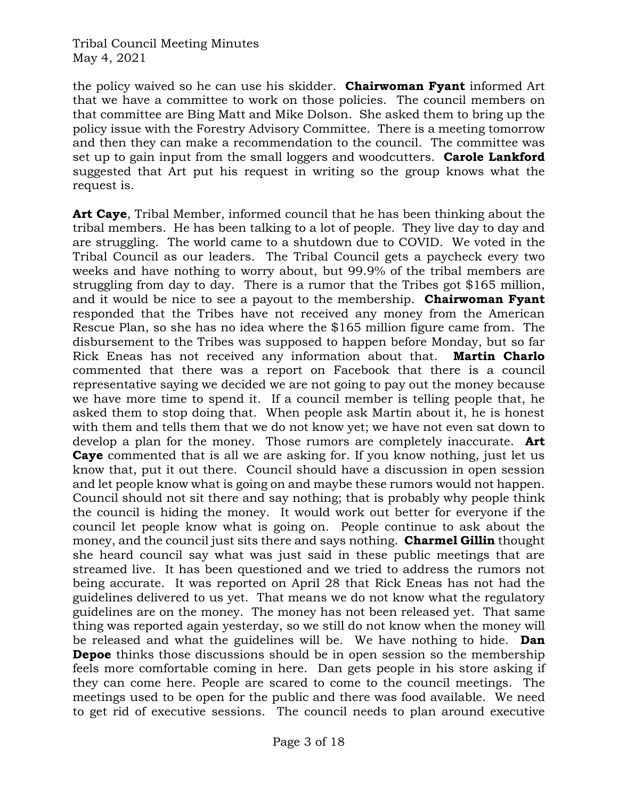the policy waived so he can use his skidder. **Chairwoman Fyant** informed Art that we have a committee to work on those policies. The council members on that committee are Bing Matt and Mike Dolson. She asked them to bring up the policy issue with the Forestry Advisory Committee. There is a meeting tomorrow and then they can make a recommendation to the council. The committee was set up to gain input from the small loggers and woodcutters. **Carole Lankford** suggested that Art put his request in writing so the group knows what the request is.

**Art Caye**, Tribal Member, informed council that he has been thinking about the tribal members. He has been talking to a lot of people. They live day to day and are struggling. The world came to a shutdown due to COVID. We voted in the Tribal Council as our leaders. The Tribal Council gets a paycheck every two weeks and have nothing to worry about, but 99.9% of the tribal members are struggling from day to day. There is a rumor that the Tribes got \$165 million, and it would be nice to see a payout to the membership. **Chairwoman Fyant** responded that the Tribes have not received any money from the American Rescue Plan, so she has no idea where the \$165 million figure came from. The disbursement to the Tribes was supposed to happen before Monday, but so far Rick Eneas has not received any information about that. **Martin Charlo** commented that there was a report on Facebook that there is a council representative saying we decided we are not going to pay out the money because we have more time to spend it. If a council member is telling people that, he asked them to stop doing that. When people ask Martin about it, he is honest with them and tells them that we do not know yet; we have not even sat down to develop a plan for the money. Those rumors are completely inaccurate. **Art Caye** commented that is all we are asking for. If you know nothing, just let us know that, put it out there. Council should have a discussion in open session and let people know what is going on and maybe these rumors would not happen. Council should not sit there and say nothing; that is probably why people think the council is hiding the money. It would work out better for everyone if the council let people know what is going on. People continue to ask about the money, and the council just sits there and says nothing. **Charmel Gillin** thought she heard council say what was just said in these public meetings that are streamed live. It has been questioned and we tried to address the rumors not being accurate. It was reported on April 28 that Rick Eneas has not had the guidelines delivered to us yet. That means we do not know what the regulatory guidelines are on the money. The money has not been released yet. That same thing was reported again yesterday, so we still do not know when the money will be released and what the guidelines will be. We have nothing to hide. **Dan Depoe** thinks those discussions should be in open session so the membership feels more comfortable coming in here. Dan gets people in his store asking if they can come here. People are scared to come to the council meetings. The meetings used to be open for the public and there was food available. We need to get rid of executive sessions. The council needs to plan around executive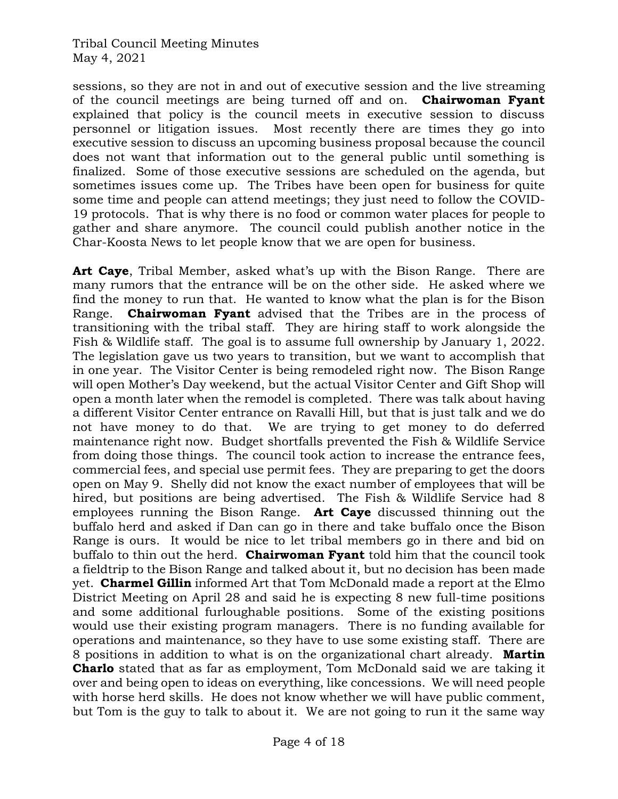sessions, so they are not in and out of executive session and the live streaming of the council meetings are being turned off and on. **Chairwoman Fyant** explained that policy is the council meets in executive session to discuss personnel or litigation issues. Most recently there are times they go into executive session to discuss an upcoming business proposal because the council does not want that information out to the general public until something is finalized. Some of those executive sessions are scheduled on the agenda, but sometimes issues come up. The Tribes have been open for business for quite some time and people can attend meetings; they just need to follow the COVID-19 protocols. That is why there is no food or common water places for people to gather and share anymore. The council could publish another notice in the Char-Koosta News to let people know that we are open for business.

**Art Caye**, Tribal Member, asked what's up with the Bison Range. There are many rumors that the entrance will be on the other side. He asked where we find the money to run that. He wanted to know what the plan is for the Bison Range. **Chairwoman Fyant** advised that the Tribes are in the process of transitioning with the tribal staff. They are hiring staff to work alongside the Fish & Wildlife staff. The goal is to assume full ownership by January 1, 2022. The legislation gave us two years to transition, but we want to accomplish that in one year. The Visitor Center is being remodeled right now. The Bison Range will open Mother's Day weekend, but the actual Visitor Center and Gift Shop will open a month later when the remodel is completed. There was talk about having a different Visitor Center entrance on Ravalli Hill, but that is just talk and we do not have money to do that. We are trying to get money to do deferred maintenance right now. Budget shortfalls prevented the Fish & Wildlife Service from doing those things. The council took action to increase the entrance fees, commercial fees, and special use permit fees. They are preparing to get the doors open on May 9. Shelly did not know the exact number of employees that will be hired, but positions are being advertised. The Fish & Wildlife Service had 8 employees running the Bison Range. **Art Caye** discussed thinning out the buffalo herd and asked if Dan can go in there and take buffalo once the Bison Range is ours. It would be nice to let tribal members go in there and bid on buffalo to thin out the herd. **Chairwoman Fyant** told him that the council took a fieldtrip to the Bison Range and talked about it, but no decision has been made yet. **Charmel Gillin** informed Art that Tom McDonald made a report at the Elmo District Meeting on April 28 and said he is expecting 8 new full-time positions and some additional furloughable positions. Some of the existing positions would use their existing program managers. There is no funding available for operations and maintenance, so they have to use some existing staff. There are 8 positions in addition to what is on the organizational chart already. **Martin Charlo** stated that as far as employment, Tom McDonald said we are taking it over and being open to ideas on everything, like concessions. We will need people with horse herd skills. He does not know whether we will have public comment, but Tom is the guy to talk to about it. We are not going to run it the same way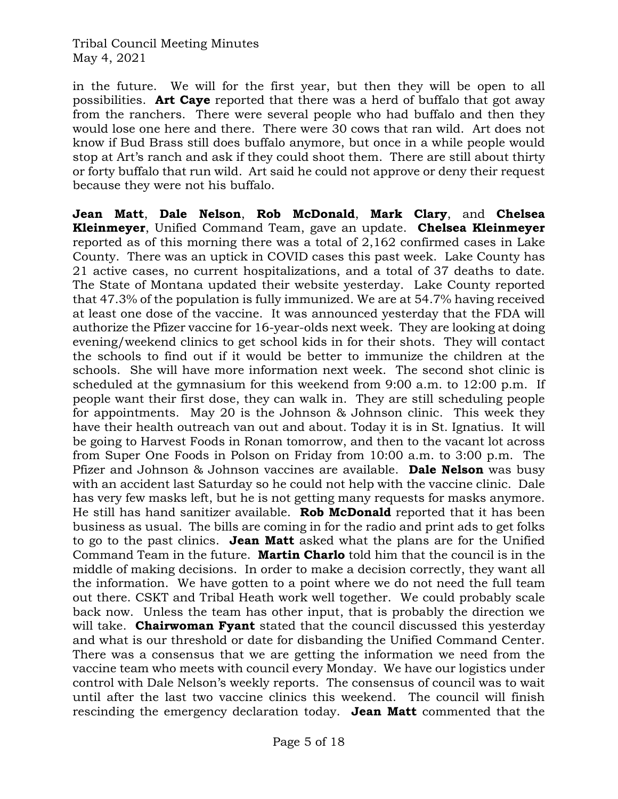in the future. We will for the first year, but then they will be open to all possibilities. **Art Caye** reported that there was a herd of buffalo that got away from the ranchers. There were several people who had buffalo and then they would lose one here and there. There were 30 cows that ran wild. Art does not know if Bud Brass still does buffalo anymore, but once in a while people would stop at Art's ranch and ask if they could shoot them. There are still about thirty or forty buffalo that run wild. Art said he could not approve or deny their request because they were not his buffalo.

**Jean Matt**, **Dale Nelson**, **Rob McDonald**, **Mark Clary**, and **Chelsea Kleinmeyer**, Unified Command Team, gave an update. **Chelsea Kleinmeyer** reported as of this morning there was a total of 2,162 confirmed cases in Lake County. There was an uptick in COVID cases this past week. Lake County has 21 active cases, no current hospitalizations, and a total of 37 deaths to date. The State of Montana updated their website yesterday. Lake County reported that 47.3% of the population is fully immunized. We are at 54.7% having received at least one dose of the vaccine. It was announced yesterday that the FDA will authorize the Pfizer vaccine for 16-year-olds next week. They are looking at doing evening/weekend clinics to get school kids in for their shots. They will contact the schools to find out if it would be better to immunize the children at the schools. She will have more information next week. The second shot clinic is scheduled at the gymnasium for this weekend from 9:00 a.m. to 12:00 p.m. If people want their first dose, they can walk in. They are still scheduling people for appointments. May 20 is the Johnson & Johnson clinic. This week they have their health outreach van out and about. Today it is in St. Ignatius. It will be going to Harvest Foods in Ronan tomorrow, and then to the vacant lot across from Super One Foods in Polson on Friday from 10:00 a.m. to 3:00 p.m. The Pfizer and Johnson & Johnson vaccines are available. **Dale Nelson** was busy with an accident last Saturday so he could not help with the vaccine clinic. Dale has very few masks left, but he is not getting many requests for masks anymore. He still has hand sanitizer available. **Rob McDonald** reported that it has been business as usual. The bills are coming in for the radio and print ads to get folks to go to the past clinics. **Jean Matt** asked what the plans are for the Unified Command Team in the future. **Martin Charlo** told him that the council is in the middle of making decisions. In order to make a decision correctly, they want all the information. We have gotten to a point where we do not need the full team out there. CSKT and Tribal Heath work well together. We could probably scale back now. Unless the team has other input, that is probably the direction we will take. **Chairwoman Fyant** stated that the council discussed this yesterday and what is our threshold or date for disbanding the Unified Command Center. There was a consensus that we are getting the information we need from the vaccine team who meets with council every Monday. We have our logistics under control with Dale Nelson's weekly reports. The consensus of council was to wait until after the last two vaccine clinics this weekend. The council will finish rescinding the emergency declaration today. **Jean Matt** commented that the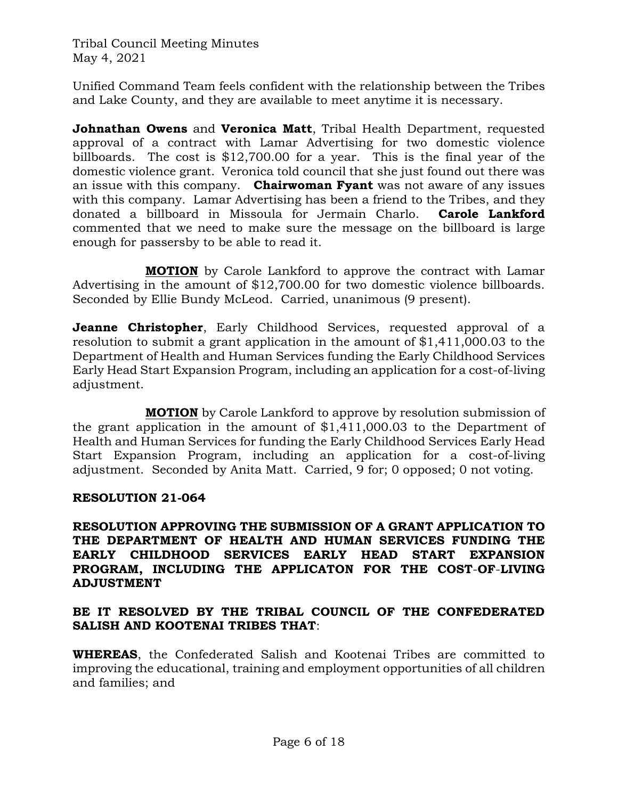Unified Command Team feels confident with the relationship between the Tribes and Lake County, and they are available to meet anytime it is necessary.

**Johnathan Owens** and **Veronica Matt**, Tribal Health Department, requested approval of a contract with Lamar Advertising for two domestic violence billboards. The cost is \$12,700.00 for a year. This is the final year of the domestic violence grant. Veronica told council that she just found out there was an issue with this company. **Chairwoman Fyant** was not aware of any issues with this company. Lamar Advertising has been a friend to the Tribes, and they donated a billboard in Missoula for Jermain Charlo. **Carole Lankford** commented that we need to make sure the message on the billboard is large enough for passersby to be able to read it.

**MOTION** by Carole Lankford to approve the contract with Lamar Advertising in the amount of \$12,700.00 for two domestic violence billboards. Seconded by Ellie Bundy McLeod. Carried, unanimous (9 present).

**Jeanne Christopher**, Early Childhood Services, requested approval of a resolution to submit a grant application in the amount of \$1,411,000.03 to the Department of Health and Human Services funding the Early Childhood Services Early Head Start Expansion Program, including an application for a cost-of-living adjustment.

**MOTION** by Carole Lankford to approve by resolution submission of the grant application in the amount of \$1,411,000.03 to the Department of Health and Human Services for funding the Early Childhood Services Early Head Start Expansion Program, including an application for a cost-of-living adjustment. Seconded by Anita Matt. Carried, 9 for; 0 opposed; 0 not voting.

## **RESOLUTION 21-064**

### **RESOLUTION APPROVING THE SUBMISSION OF A GRANT APPLICATION TO THE DEPARTMENT OF HEALTH AND HUMAN SERVICES FUNDING THE EARLY CHILDHOOD SERVICES EARLY HEAD START EXPANSION PROGRAM, INCLUDING THE APPLICATON FOR THE COST**-**OF**-**LIVING ADJUSTMENT**

### **BE IT RESOLVED BY THE TRIBAL COUNCIL OF THE CONFEDERATED SALISH AND KOOTENAI TRIBES THAT**:

**WHEREAS**, the Confederated Salish and Kootenai Tribes are committed to improving the educational, training and employment opportunities of all children and families; and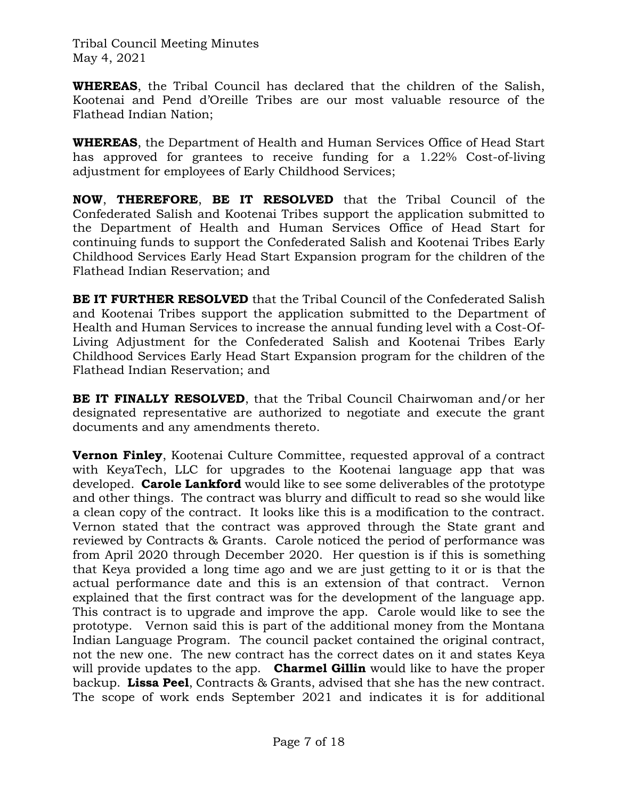**WHEREAS**, the Tribal Council has declared that the children of the Salish, Kootenai and Pend d'Oreille Tribes are our most valuable resource of the Flathead Indian Nation;

**WHEREAS**, the Department of Health and Human Services Office of Head Start has approved for grantees to receive funding for a 1.22% Cost-of-living adjustment for employees of Early Childhood Services;

**NOW**, **THEREFORE**, **BE IT RESOLVED** that the Tribal Council of the Confederated Salish and Kootenai Tribes support the application submitted to the Department of Health and Human Services Office of Head Start for continuing funds to support the Confederated Salish and Kootenai Tribes Early Childhood Services Early Head Start Expansion program for the children of the Flathead Indian Reservation; and

**BE IT FURTHER RESOLVED** that the Tribal Council of the Confederated Salish and Kootenai Tribes support the application submitted to the Department of Health and Human Services to increase the annual funding level with a Cost-Of-Living Adjustment for the Confederated Salish and Kootenai Tribes Early Childhood Services Early Head Start Expansion program for the children of the Flathead Indian Reservation; and

**BE IT FINALLY RESOLVED**, that the Tribal Council Chairwoman and/or her designated representative are authorized to negotiate and execute the grant documents and any amendments thereto.

**Vernon Finley**, Kootenai Culture Committee, requested approval of a contract with KeyaTech, LLC for upgrades to the Kootenai language app that was developed. **Carole Lankford** would like to see some deliverables of the prototype and other things. The contract was blurry and difficult to read so she would like a clean copy of the contract. It looks like this is a modification to the contract. Vernon stated that the contract was approved through the State grant and reviewed by Contracts & Grants. Carole noticed the period of performance was from April 2020 through December 2020. Her question is if this is something that Keya provided a long time ago and we are just getting to it or is that the actual performance date and this is an extension of that contract. Vernon explained that the first contract was for the development of the language app. This contract is to upgrade and improve the app. Carole would like to see the prototype. Vernon said this is part of the additional money from the Montana Indian Language Program. The council packet contained the original contract, not the new one. The new contract has the correct dates on it and states Keya will provide updates to the app. **Charmel Gillin** would like to have the proper backup. **Lissa Peel**, Contracts & Grants, advised that she has the new contract. The scope of work ends September 2021 and indicates it is for additional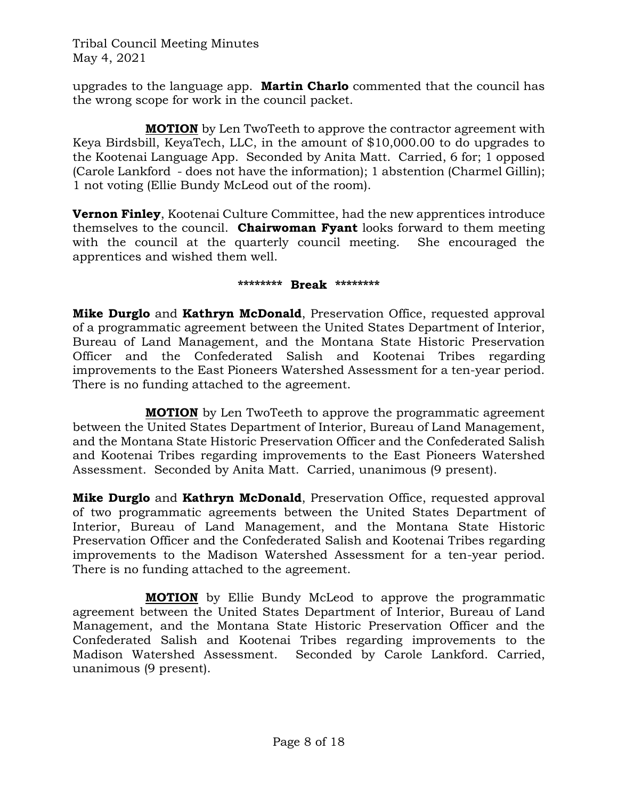upgrades to the language app. **Martin Charlo** commented that the council has the wrong scope for work in the council packet.

**MOTION** by Len TwoTeeth to approve the contractor agreement with Keya Birdsbill, KeyaTech, LLC, in the amount of \$10,000.00 to do upgrades to the Kootenai Language App. Seconded by Anita Matt. Carried, 6 for; 1 opposed (Carole Lankford - does not have the information); 1 abstention (Charmel Gillin); 1 not voting (Ellie Bundy McLeod out of the room).

**Vernon Finley**, Kootenai Culture Committee, had the new apprentices introduce themselves to the council. **Chairwoman Fyant** looks forward to them meeting with the council at the quarterly council meeting. She encouraged the apprentices and wished them well.

#### **\*\*\*\*\*\*\*\* Break \*\*\*\*\*\*\*\***

**Mike Durglo** and **Kathryn McDonald**, Preservation Office, requested approval of a programmatic agreement between the United States Department of Interior, Bureau of Land Management, and the Montana State Historic Preservation Officer and the Confederated Salish and Kootenai Tribes regarding improvements to the East Pioneers Watershed Assessment for a ten-year period. There is no funding attached to the agreement.

**MOTION** by Len TwoTeeth to approve the programmatic agreement between the United States Department of Interior, Bureau of Land Management, and the Montana State Historic Preservation Officer and the Confederated Salish and Kootenai Tribes regarding improvements to the East Pioneers Watershed Assessment. Seconded by Anita Matt. Carried, unanimous (9 present).

**Mike Durglo** and **Kathryn McDonald**, Preservation Office, requested approval of two programmatic agreements between the United States Department of Interior, Bureau of Land Management, and the Montana State Historic Preservation Officer and the Confederated Salish and Kootenai Tribes regarding improvements to the Madison Watershed Assessment for a ten-year period. There is no funding attached to the agreement.

**MOTION** by Ellie Bundy McLeod to approve the programmatic agreement between the United States Department of Interior, Bureau of Land Management, and the Montana State Historic Preservation Officer and the Confederated Salish and Kootenai Tribes regarding improvements to the Madison Watershed Assessment. Seconded by Carole Lankford. Carried, unanimous (9 present).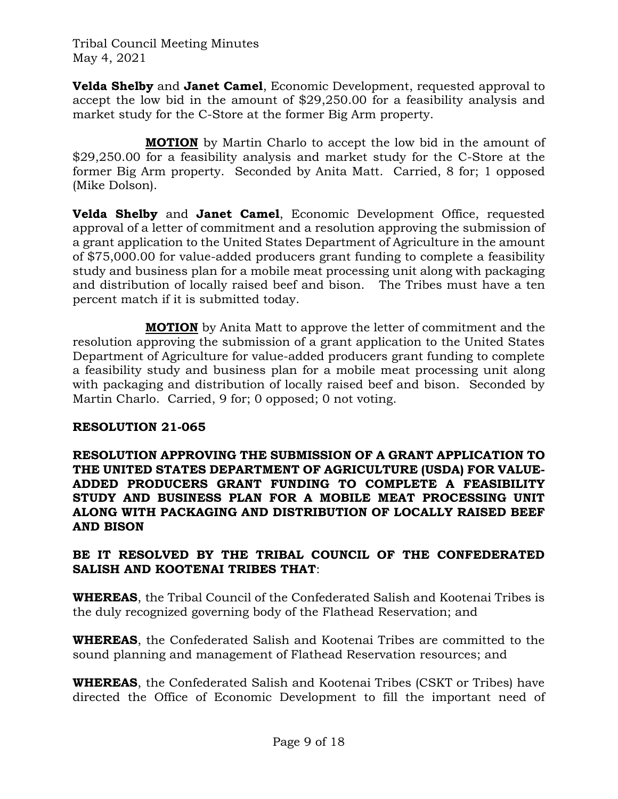**Velda Shelby** and **Janet Camel**, Economic Development, requested approval to accept the low bid in the amount of \$29,250.00 for a feasibility analysis and market study for the C-Store at the former Big Arm property.

**MOTION** by Martin Charlo to accept the low bid in the amount of \$29,250.00 for a feasibility analysis and market study for the C-Store at the former Big Arm property. Seconded by Anita Matt. Carried, 8 for; 1 opposed (Mike Dolson).

**Velda Shelby** and **Janet Camel**, Economic Development Office, requested approval of a letter of commitment and a resolution approving the submission of a grant application to the United States Department of Agriculture in the amount of \$75,000.00 for value-added producers grant funding to complete a feasibility study and business plan for a mobile meat processing unit along with packaging and distribution of locally raised beef and bison. The Tribes must have a ten percent match if it is submitted today.

**MOTION** by Anita Matt to approve the letter of commitment and the resolution approving the submission of a grant application to the United States Department of Agriculture for value-added producers grant funding to complete a feasibility study and business plan for a mobile meat processing unit along with packaging and distribution of locally raised beef and bison. Seconded by Martin Charlo. Carried, 9 for; 0 opposed; 0 not voting.

## **RESOLUTION 21-065**

**RESOLUTION APPROVING THE SUBMISSION OF A GRANT APPLICATION TO THE UNITED STATES DEPARTMENT OF AGRICULTURE (USDA) FOR VALUE-ADDED PRODUCERS GRANT FUNDING TO COMPLETE A FEASIBILITY STUDY AND BUSINESS PLAN FOR A MOBILE MEAT PROCESSING UNIT ALONG WITH PACKAGING AND DISTRIBUTION OF LOCALLY RAISED BEEF AND BISON**

## **BE IT RESOLVED BY THE TRIBAL COUNCIL OF THE CONFEDERATED SALISH AND KOOTENAI TRIBES THAT**:

**WHEREAS**, the Tribal Council of the Confederated Salish and Kootenai Tribes is the duly recognized governing body of the Flathead Reservation; and

**WHEREAS**, the Confederated Salish and Kootenai Tribes are committed to the sound planning and management of Flathead Reservation resources; and

**WHEREAS**, the Confederated Salish and Kootenai Tribes (CSKT or Tribes) have directed the Office of Economic Development to fill the important need of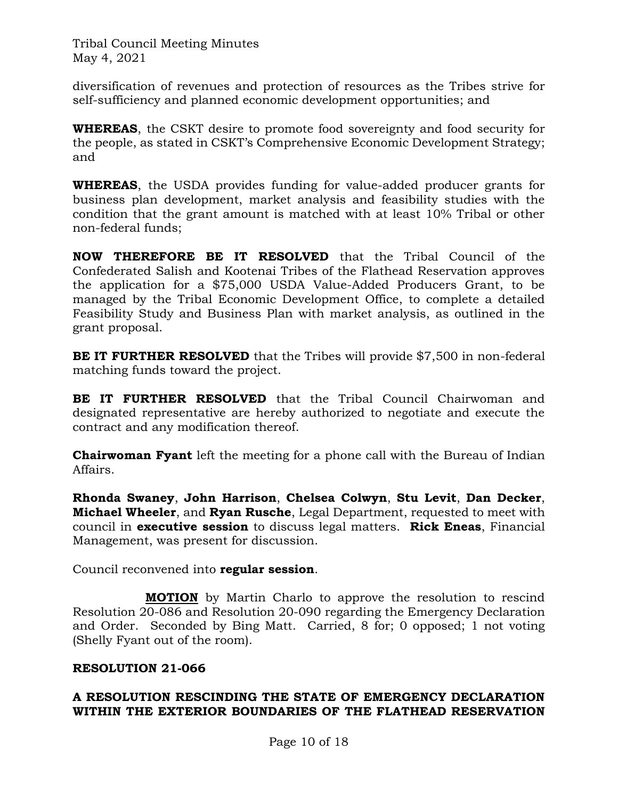diversification of revenues and protection of resources as the Tribes strive for self-sufficiency and planned economic development opportunities; and

**WHEREAS**, the CSKT desire to promote food sovereignty and food security for the people, as stated in CSKT's Comprehensive Economic Development Strategy; and

**WHEREAS**, the USDA provides funding for value-added producer grants for business plan development, market analysis and feasibility studies with the condition that the grant amount is matched with at least 10% Tribal or other non-federal funds;

**NOW THEREFORE BE IT RESOLVED** that the Tribal Council of the Confederated Salish and Kootenai Tribes of the Flathead Reservation approves the application for a \$75,000 USDA Value-Added Producers Grant, to be managed by the Tribal Economic Development Office, to complete a detailed Feasibility Study and Business Plan with market analysis, as outlined in the grant proposal.

**BE IT FURTHER RESOLVED** that the Tribes will provide \$7,500 in non-federal matching funds toward the project.

**BE IT FURTHER RESOLVED** that the Tribal Council Chairwoman and designated representative are hereby authorized to negotiate and execute the contract and any modification thereof.

**Chairwoman Fyant** left the meeting for a phone call with the Bureau of Indian Affairs.

**Rhonda Swaney**, **John Harrison**, **Chelsea Colwyn**, **Stu Levit**, **Dan Decker**, **Michael Wheeler**, and **Ryan Rusche**, Legal Department, requested to meet with council in **executive session** to discuss legal matters. **Rick Eneas**, Financial Management, was present for discussion.

Council reconvened into **regular session**.

**MOTION** by Martin Charlo to approve the resolution to rescind Resolution 20-086 and Resolution 20-090 regarding the Emergency Declaration and Order. Seconded by Bing Matt. Carried, 8 for; 0 opposed; 1 not voting (Shelly Fyant out of the room).

## **RESOLUTION 21-066**

## **A RESOLUTION RESCINDING THE STATE OF EMERGENCY DECLARATION WITHIN THE EXTERIOR BOUNDARIES OF THE FLATHEAD RESERVATION**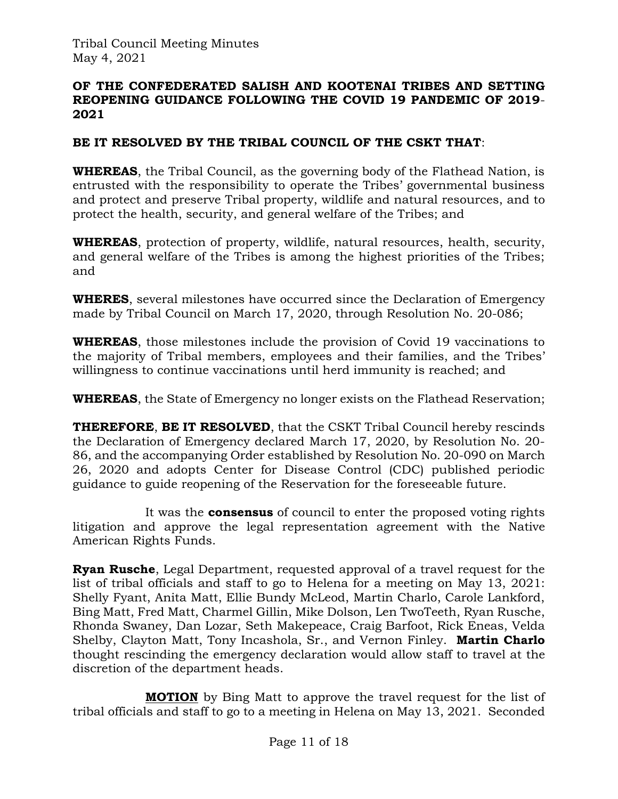### **OF THE CONFEDERATED SALISH AND KOOTENAI TRIBES AND SETTING REOPENING GUIDANCE FOLLOWING THE COVID 19 PANDEMIC OF 2019**- **2021**

## **BE IT RESOLVED BY THE TRIBAL COUNCIL OF THE CSKT THAT**:

**WHEREAS**, the Tribal Council, as the governing body of the Flathead Nation, is entrusted with the responsibility to operate the Tribes' governmental business and protect and preserve Tribal property, wildlife and natural resources, and to protect the health, security, and general welfare of the Tribes; and

**WHEREAS**, protection of property, wildlife, natural resources, health, security, and general welfare of the Tribes is among the highest priorities of the Tribes; and

**WHERES**, several milestones have occurred since the Declaration of Emergency made by Tribal Council on March 17, 2020, through Resolution No. 20-086;

**WHEREAS**, those milestones include the provision of Covid 19 vaccinations to the majority of Tribal members, employees and their families, and the Tribes' willingness to continue vaccinations until herd immunity is reached; and

**WHEREAS**, the State of Emergency no longer exists on the Flathead Reservation;

**THEREFORE**, **BE IT RESOLVED**, that the CSKT Tribal Council hereby rescinds the Declaration of Emergency declared March 17, 2020, by Resolution No. 20- 86, and the accompanying Order established by Resolution No. 20-090 on March 26, 2020 and adopts Center for Disease Control (CDC) published periodic guidance to guide reopening of the Reservation for the foreseeable future.

It was the **consensus** of council to enter the proposed voting rights litigation and approve the legal representation agreement with the Native American Rights Funds.

**Ryan Rusche**, Legal Department, requested approval of a travel request for the list of tribal officials and staff to go to Helena for a meeting on May 13, 2021: Shelly Fyant, Anita Matt, Ellie Bundy McLeod, Martin Charlo, Carole Lankford, Bing Matt, Fred Matt, Charmel Gillin, Mike Dolson, Len TwoTeeth, Ryan Rusche, Rhonda Swaney, Dan Lozar, Seth Makepeace, Craig Barfoot, Rick Eneas, Velda Shelby, Clayton Matt, Tony Incashola, Sr., and Vernon Finley. **Martin Charlo** thought rescinding the emergency declaration would allow staff to travel at the discretion of the department heads.

**MOTION** by Bing Matt to approve the travel request for the list of tribal officials and staff to go to a meeting in Helena on May 13, 2021. Seconded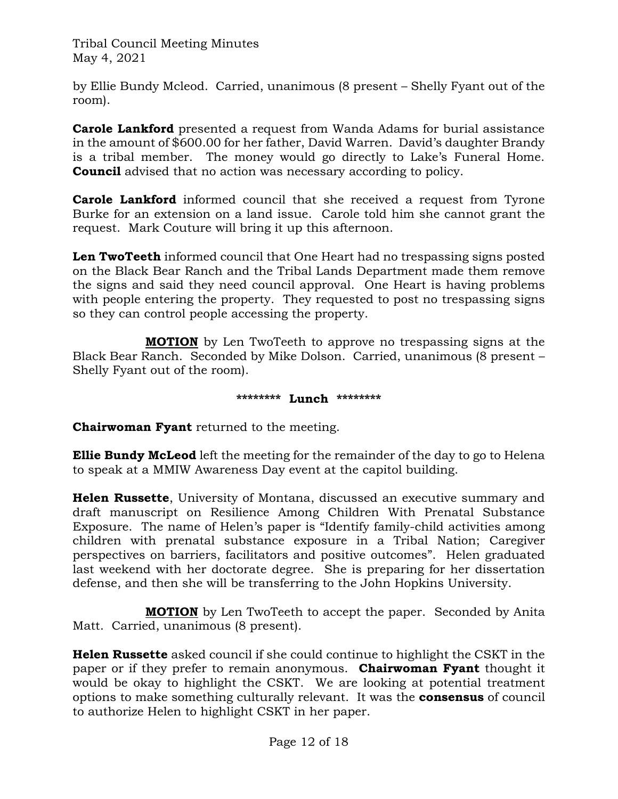by Ellie Bundy Mcleod. Carried, unanimous (8 present – Shelly Fyant out of the room).

**Carole Lankford** presented a request from Wanda Adams for burial assistance in the amount of \$600.00 for her father, David Warren. David's daughter Brandy is a tribal member. The money would go directly to Lake's Funeral Home. **Council** advised that no action was necessary according to policy.

**Carole Lankford** informed council that she received a request from Tyrone Burke for an extension on a land issue. Carole told him she cannot grant the request. Mark Couture will bring it up this afternoon.

**Len TwoTeeth** informed council that One Heart had no trespassing signs posted on the Black Bear Ranch and the Tribal Lands Department made them remove the signs and said they need council approval. One Heart is having problems with people entering the property. They requested to post no trespassing signs so they can control people accessing the property.

**MOTION** by Len TwoTeeth to approve no trespassing signs at the Black Bear Ranch. Seconded by Mike Dolson. Carried, unanimous (8 present – Shelly Fyant out of the room).

### **\*\*\*\*\*\*\*\* Lunch \*\*\*\*\*\*\*\***

**Chairwoman Fyant** returned to the meeting.

**Ellie Bundy McLeod** left the meeting for the remainder of the day to go to Helena to speak at a MMIW Awareness Day event at the capitol building.

**Helen Russette**, University of Montana, discussed an executive summary and draft manuscript on Resilience Among Children With Prenatal Substance Exposure. The name of Helen's paper is "Identify family-child activities among children with prenatal substance exposure in a Tribal Nation; Caregiver perspectives on barriers, facilitators and positive outcomes". Helen graduated last weekend with her doctorate degree. She is preparing for her dissertation defense, and then she will be transferring to the John Hopkins University.

**MOTION** by Len TwoTeeth to accept the paper. Seconded by Anita Matt. Carried, unanimous (8 present).

**Helen Russette** asked council if she could continue to highlight the CSKT in the paper or if they prefer to remain anonymous. **Chairwoman Fyant** thought it would be okay to highlight the CSKT. We are looking at potential treatment options to make something culturally relevant. It was the **consensus** of council to authorize Helen to highlight CSKT in her paper.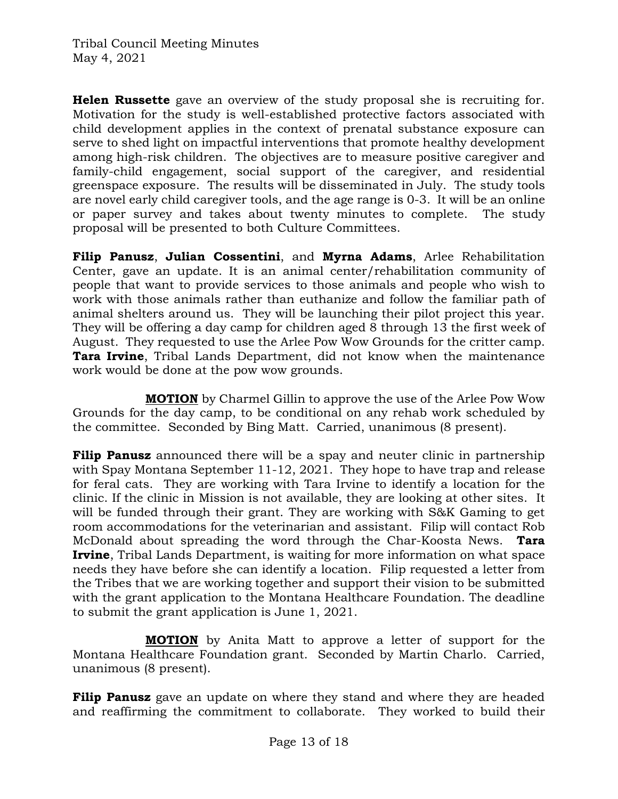**Helen Russette** gave an overview of the study proposal she is recruiting for. Motivation for the study is well-established protective factors associated with child development applies in the context of prenatal substance exposure can serve to shed light on impactful interventions that promote healthy development among high-risk children. The objectives are to measure positive caregiver and family-child engagement, social support of the caregiver, and residential greenspace exposure. The results will be disseminated in July. The study tools are novel early child caregiver tools, and the age range is 0-3. It will be an online or paper survey and takes about twenty minutes to complete. The study proposal will be presented to both Culture Committees.

**Filip Panusz**, **Julian Cossentini**, and **Myrna Adams**, Arlee Rehabilitation Center, gave an update. It is an animal center/rehabilitation community of people that want to provide services to those animals and people who wish to work with those animals rather than euthanize and follow the familiar path of animal shelters around us. They will be launching their pilot project this year. They will be offering a day camp for children aged 8 through 13 the first week of August. They requested to use the Arlee Pow Wow Grounds for the critter camp. **Tara Irvine**, Tribal Lands Department, did not know when the maintenance work would be done at the pow wow grounds.

**MOTION** by Charmel Gillin to approve the use of the Arlee Pow Wow Grounds for the day camp, to be conditional on any rehab work scheduled by the committee. Seconded by Bing Matt. Carried, unanimous (8 present).

**Filip Panusz** announced there will be a spay and neuter clinic in partnership with Spay Montana September 11-12, 2021. They hope to have trap and release for feral cats. They are working with Tara Irvine to identify a location for the clinic. If the clinic in Mission is not available, they are looking at other sites. It will be funded through their grant. They are working with S&K Gaming to get room accommodations for the veterinarian and assistant. Filip will contact Rob McDonald about spreading the word through the Char-Koosta News. **Tara Irvine**, Tribal Lands Department, is waiting for more information on what space needs they have before she can identify a location. Filip requested a letter from the Tribes that we are working together and support their vision to be submitted with the grant application to the Montana Healthcare Foundation. The deadline to submit the grant application is June 1, 2021.

**MOTION** by Anita Matt to approve a letter of support for the Montana Healthcare Foundation grant. Seconded by Martin Charlo. Carried, unanimous (8 present).

**Filip Panusz** gave an update on where they stand and where they are headed and reaffirming the commitment to collaborate. They worked to build their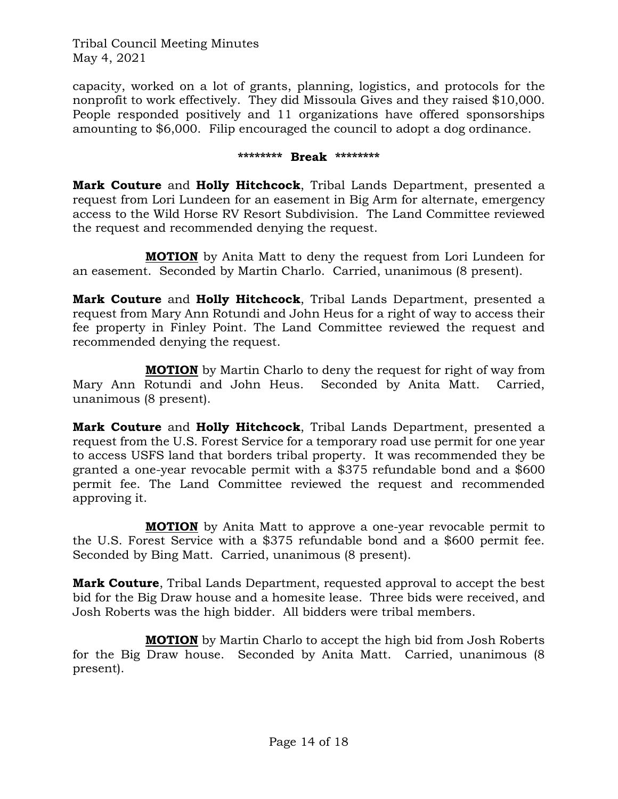capacity, worked on a lot of grants, planning, logistics, and protocols for the nonprofit to work effectively. They did Missoula Gives and they raised \$10,000. People responded positively and 11 organizations have offered sponsorships amounting to \$6,000. Filip encouraged the council to adopt a dog ordinance.

#### **\*\*\*\*\*\*\*\* Break \*\*\*\*\*\*\*\***

**Mark Couture** and **Holly Hitchcock**, Tribal Lands Department, presented a request from Lori Lundeen for an easement in Big Arm for alternate, emergency access to the Wild Horse RV Resort Subdivision. The Land Committee reviewed the request and recommended denying the request.

**MOTION** by Anita Matt to deny the request from Lori Lundeen for an easement. Seconded by Martin Charlo. Carried, unanimous (8 present).

**Mark Couture** and **Holly Hitchcock**, Tribal Lands Department, presented a request from Mary Ann Rotundi and John Heus for a right of way to access their fee property in Finley Point. The Land Committee reviewed the request and recommended denying the request.

**MOTION** by Martin Charlo to deny the request for right of way from Mary Ann Rotundi and John Heus. Seconded by Anita Matt. Carried, unanimous (8 present).

**Mark Couture** and **Holly Hitchcock**, Tribal Lands Department, presented a request from the U.S. Forest Service for a temporary road use permit for one year to access USFS land that borders tribal property. It was recommended they be granted a one-year revocable permit with a \$375 refundable bond and a \$600 permit fee. The Land Committee reviewed the request and recommended approving it.

**MOTION** by Anita Matt to approve a one-year revocable permit to the U.S. Forest Service with a \$375 refundable bond and a \$600 permit fee. Seconded by Bing Matt. Carried, unanimous (8 present).

**Mark Couture**, Tribal Lands Department, requested approval to accept the best bid for the Big Draw house and a homesite lease. Three bids were received, and Josh Roberts was the high bidder. All bidders were tribal members.

**MOTION** by Martin Charlo to accept the high bid from Josh Roberts for the Big Draw house. Seconded by Anita Matt. Carried, unanimous (8 present).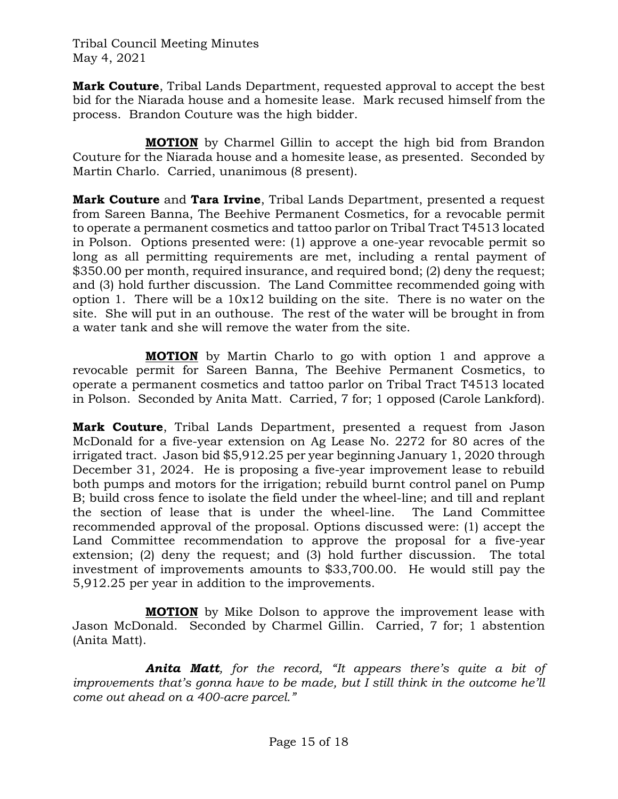**Mark Couture**, Tribal Lands Department, requested approval to accept the best bid for the Niarada house and a homesite lease. Mark recused himself from the process. Brandon Couture was the high bidder.

**MOTION** by Charmel Gillin to accept the high bid from Brandon Couture for the Niarada house and a homesite lease, as presented. Seconded by Martin Charlo. Carried, unanimous (8 present).

**Mark Couture** and **Tara Irvine**, Tribal Lands Department, presented a request from Sareen Banna, The Beehive Permanent Cosmetics, for a revocable permit to operate a permanent cosmetics and tattoo parlor on Tribal Tract T4513 located in Polson. Options presented were: (1) approve a one-year revocable permit so long as all permitting requirements are met, including a rental payment of \$350.00 per month, required insurance, and required bond; (2) deny the request; and (3) hold further discussion. The Land Committee recommended going with option 1. There will be a 10x12 building on the site. There is no water on the site. She will put in an outhouse. The rest of the water will be brought in from a water tank and she will remove the water from the site.

**MOTION** by Martin Charlo to go with option 1 and approve a revocable permit for Sareen Banna, The Beehive Permanent Cosmetics, to operate a permanent cosmetics and tattoo parlor on Tribal Tract T4513 located in Polson. Seconded by Anita Matt. Carried, 7 for; 1 opposed (Carole Lankford).

**Mark Couture**, Tribal Lands Department, presented a request from Jason McDonald for a five-year extension on Ag Lease No. 2272 for 80 acres of the irrigated tract. Jason bid \$5,912.25 per year beginning January 1, 2020 through December 31, 2024. He is proposing a five-year improvement lease to rebuild both pumps and motors for the irrigation; rebuild burnt control panel on Pump B; build cross fence to isolate the field under the wheel-line; and till and replant the section of lease that is under the wheel-line. The Land Committee recommended approval of the proposal. Options discussed were: (1) accept the Land Committee recommendation to approve the proposal for a five-year extension; (2) deny the request; and (3) hold further discussion. The total investment of improvements amounts to \$33,700.00. He would still pay the 5,912.25 per year in addition to the improvements.

**MOTION** by Mike Dolson to approve the improvement lease with Jason McDonald. Seconded by Charmel Gillin. Carried, 7 for; 1 abstention (Anita Matt).

*Anita Matt, for the record, "It appears there's quite a bit of improvements that's gonna have to be made, but I still think in the outcome he'll come out ahead on a 400-acre parcel."*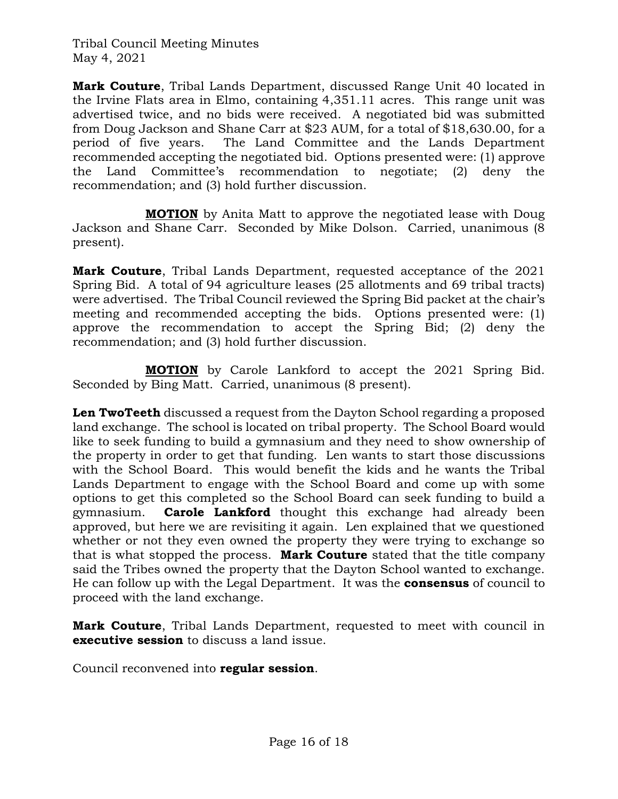**Mark Couture**, Tribal Lands Department, discussed Range Unit 40 located in the Irvine Flats area in Elmo, containing 4,351.11 acres. This range unit was advertised twice, and no bids were received. A negotiated bid was submitted from Doug Jackson and Shane Carr at \$23 AUM, for a total of \$18,630.00, for a period of five years. The Land Committee and the Lands Department recommended accepting the negotiated bid. Options presented were: (1) approve the Land Committee's recommendation to negotiate; (2) deny the recommendation; and (3) hold further discussion.

**MOTION** by Anita Matt to approve the negotiated lease with Doug Jackson and Shane Carr. Seconded by Mike Dolson. Carried, unanimous (8 present).

**Mark Couture**, Tribal Lands Department, requested acceptance of the 2021 Spring Bid. A total of 94 agriculture leases (25 allotments and 69 tribal tracts) were advertised. The Tribal Council reviewed the Spring Bid packet at the chair's meeting and recommended accepting the bids. Options presented were: (1) approve the recommendation to accept the Spring Bid; (2) deny the recommendation; and (3) hold further discussion.

**MOTION** by Carole Lankford to accept the 2021 Spring Bid. Seconded by Bing Matt. Carried, unanimous (8 present).

**Len TwoTeeth** discussed a request from the Dayton School regarding a proposed land exchange. The school is located on tribal property. The School Board would like to seek funding to build a gymnasium and they need to show ownership of the property in order to get that funding. Len wants to start those discussions with the School Board. This would benefit the kids and he wants the Tribal Lands Department to engage with the School Board and come up with some options to get this completed so the School Board can seek funding to build a gymnasium. **Carole Lankford** thought this exchange had already been approved, but here we are revisiting it again. Len explained that we questioned whether or not they even owned the property they were trying to exchange so that is what stopped the process. **Mark Couture** stated that the title company said the Tribes owned the property that the Dayton School wanted to exchange. He can follow up with the Legal Department. It was the **consensus** of council to proceed with the land exchange.

**Mark Couture**, Tribal Lands Department, requested to meet with council in **executive session** to discuss a land issue.

Council reconvened into **regular session**.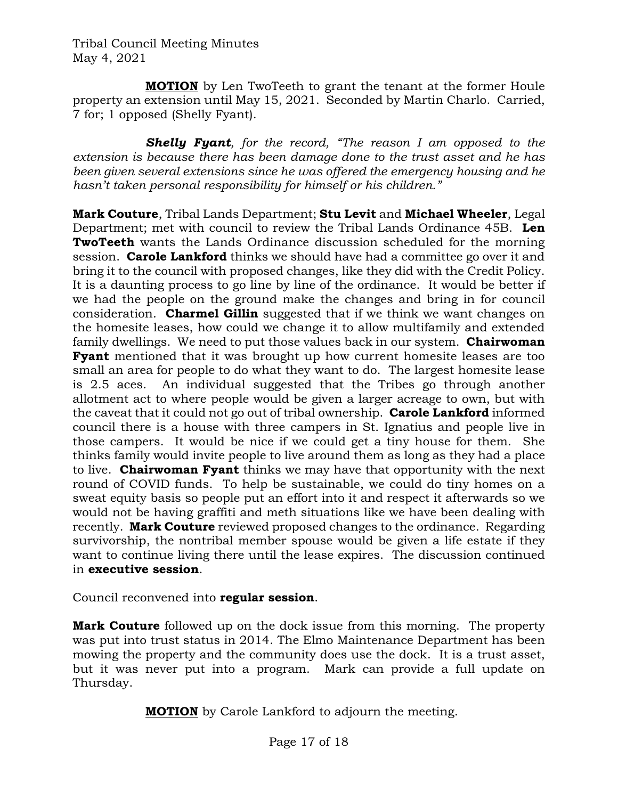**MOTION** by Len TwoTeeth to grant the tenant at the former Houle property an extension until May 15, 2021. Seconded by Martin Charlo. Carried, 7 for; 1 opposed (Shelly Fyant).

*Shelly Fyant, for the record, "The reason I am opposed to the extension is because there has been damage done to the trust asset and he has been given several extensions since he was offered the emergency housing and he hasn't taken personal responsibility for himself or his children."*

**Mark Couture**, Tribal Lands Department; **Stu Levit** and **Michael Wheeler**, Legal Department; met with council to review the Tribal Lands Ordinance 45B. **Len TwoTeeth** wants the Lands Ordinance discussion scheduled for the morning session. **Carole Lankford** thinks we should have had a committee go over it and bring it to the council with proposed changes, like they did with the Credit Policy. It is a daunting process to go line by line of the ordinance. It would be better if we had the people on the ground make the changes and bring in for council consideration. **Charmel Gillin** suggested that if we think we want changes on the homesite leases, how could we change it to allow multifamily and extended family dwellings. We need to put those values back in our system. **Chairwoman Fyant** mentioned that it was brought up how current homesite leases are too small an area for people to do what they want to do. The largest homesite lease is 2.5 aces. An individual suggested that the Tribes go through another allotment act to where people would be given a larger acreage to own, but with the caveat that it could not go out of tribal ownership. **Carole Lankford** informed council there is a house with three campers in St. Ignatius and people live in those campers. It would be nice if we could get a tiny house for them. She thinks family would invite people to live around them as long as they had a place to live. **Chairwoman Fyant** thinks we may have that opportunity with the next round of COVID funds. To help be sustainable, we could do tiny homes on a sweat equity basis so people put an effort into it and respect it afterwards so we would not be having graffiti and meth situations like we have been dealing with recently. **Mark Couture** reviewed proposed changes to the ordinance. Regarding survivorship, the nontribal member spouse would be given a life estate if they want to continue living there until the lease expires. The discussion continued in **executive session**.

Council reconvened into **regular session**.

**Mark Couture** followed up on the dock issue from this morning. The property was put into trust status in 2014. The Elmo Maintenance Department has been mowing the property and the community does use the dock. It is a trust asset, but it was never put into a program. Mark can provide a full update on Thursday.

**MOTION** by Carole Lankford to adjourn the meeting.